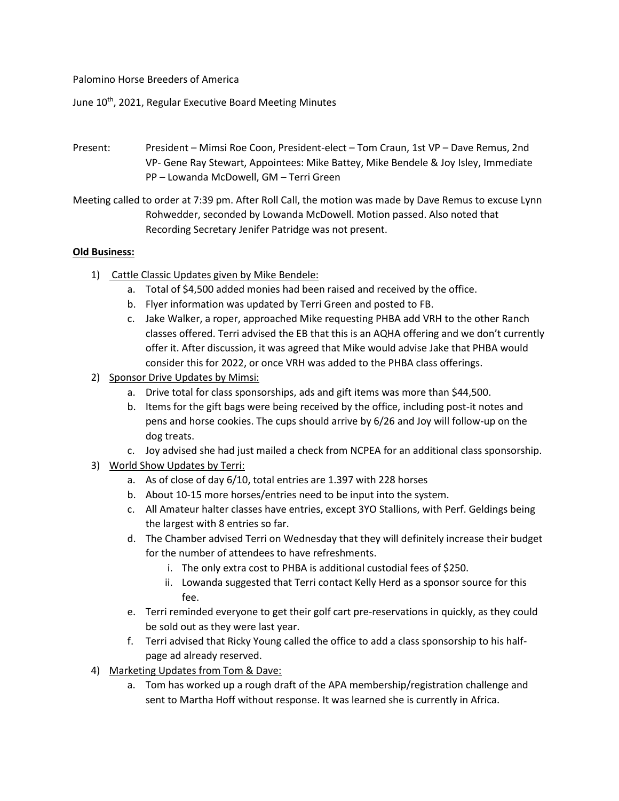Palomino Horse Breeders of America

June 10<sup>th</sup>, 2021, Regular Executive Board Meeting Minutes

Present: President – Mimsi Roe Coon, President-elect – Tom Craun, 1st VP – Dave Remus, 2nd VP- Gene Ray Stewart, Appointees: Mike Battey, Mike Bendele & Joy Isley, Immediate PP – Lowanda McDowell, GM – Terri Green

Meeting called to order at 7:39 pm. After Roll Call, the motion was made by Dave Remus to excuse Lynn Rohwedder, seconded by Lowanda McDowell. Motion passed. Also noted that Recording Secretary Jenifer Patridge was not present.

## **Old Business:**

- 1) Cattle Classic Updates given by Mike Bendele:
	- a. Total of \$4,500 added monies had been raised and received by the office.
	- b. Flyer information was updated by Terri Green and posted to FB.
	- c. Jake Walker, a roper, approached Mike requesting PHBA add VRH to the other Ranch classes offered. Terri advised the EB that this is an AQHA offering and we don't currently offer it. After discussion, it was agreed that Mike would advise Jake that PHBA would consider this for 2022, or once VRH was added to the PHBA class offerings.
- 2) Sponsor Drive Updates by Mimsi:
	- a. Drive total for class sponsorships, ads and gift items was more than \$44,500.
	- b. Items for the gift bags were being received by the office, including post-it notes and pens and horse cookies. The cups should arrive by 6/26 and Joy will follow-up on the dog treats.
	- c. Joy advised she had just mailed a check from NCPEA for an additional class sponsorship.
- 3) World Show Updates by Terri:
	- a. As of close of day 6/10, total entries are 1.397 with 228 horses
	- b. About 10-15 more horses/entries need to be input into the system.
	- c. All Amateur halter classes have entries, except 3YO Stallions, with Perf. Geldings being the largest with 8 entries so far.
	- d. The Chamber advised Terri on Wednesday that they will definitely increase their budget for the number of attendees to have refreshments.
		- i. The only extra cost to PHBA is additional custodial fees of \$250.
		- ii. Lowanda suggested that Terri contact Kelly Herd as a sponsor source for this fee.
	- e. Terri reminded everyone to get their golf cart pre-reservations in quickly, as they could be sold out as they were last year.
	- f. Terri advised that Ricky Young called the office to add a class sponsorship to his halfpage ad already reserved.
- 4) Marketing Updates from Tom & Dave:
	- a. Tom has worked up a rough draft of the APA membership/registration challenge and sent to Martha Hoff without response. It was learned she is currently in Africa.